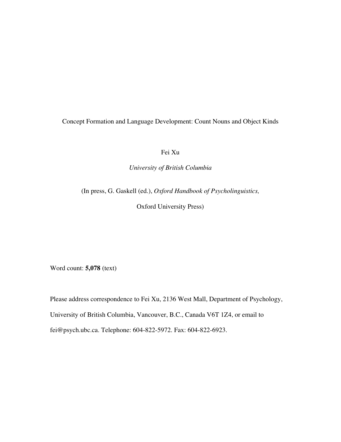Concept Formation and Language Development: Count Nouns and Object Kinds

Fei Xu

*University of British Columbia*

(In press, G. Gaskell (ed.), *Oxford Handbook of Psycholinguistics,*

Oxford University Press)

Word count: **5,078** (text)

Please address correspondence to Fei Xu, 2136 West Mall, Department of Psychology, University of British Columbia, Vancouver, B.C., Canada V6T 1Z4, or email to fei@psych.ubc.ca. Telephone: 604-822-5972. Fax: 604-822-6923.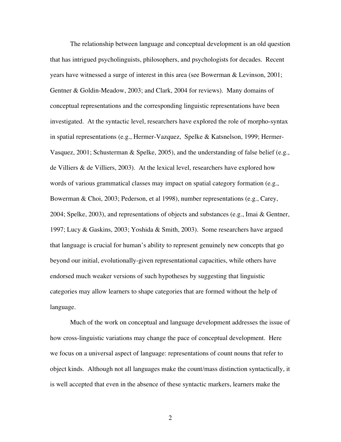The relationship between language and conceptual development is an old question that has intrigued psycholinguists, philosophers, and psychologists for decades. Recent years have witnessed a surge of interest in this area (see Bowerman & Levinson, 2001; Gentner & Goldin-Meadow, 2003; and Clark, 2004 for reviews). Many domains of conceptual representations and the corresponding linguistic representations have been investigated. At the syntactic level, researchers have explored the role of morpho-syntax in spatial representations (e.g., Hermer-Vazquez, Spelke & Katsnelson, 1999; Hermer-Vasquez, 2001; Schusterman & Spelke, 2005), and the understanding of false belief (e.g., de Villiers & de Villiers, 2003). At the lexical level, researchers have explored how words of various grammatical classes may impact on spatial category formation (e.g., Bowerman & Choi, 2003; Pederson, et al 1998), number representations (e.g., Carey, 2004; Spelke, 2003), and representations of objects and substances (e.g., Imai & Gentner, 1997; Lucy & Gaskins, 2003; Yoshida & Smith, 2003). Some researchers have argued that language is crucial for human's ability to represent genuinely new concepts that go beyond our initial, evolutionally-given representational capacities, while others have endorsed much weaker versions of such hypotheses by suggesting that linguistic categories may allow learners to shape categories that are formed without the help of language.

Much of the work on conceptual and language development addresses the issue of how cross-linguistic variations may change the pace of conceptual development. Here we focus on a universal aspect of language: representations of count nouns that refer to object kinds. Although not all languages make the count/mass distinction syntactically, it is well accepted that even in the absence of these syntactic markers, learners make the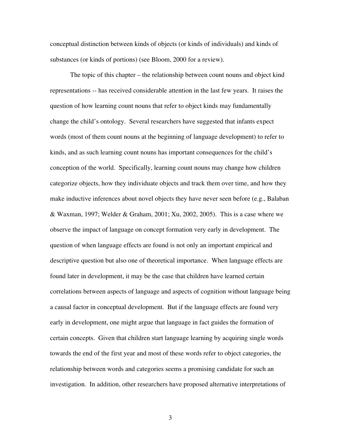conceptual distinction between kinds of objects (or kinds of individuals) and kinds of substances (or kinds of portions) (see Bloom, 2000 for a review).

The topic of this chapter – the relationship between count nouns and object kind representations -- has received considerable attention in the last few years. It raises the question of how learning count nouns that refer to object kinds may fundamentally change the child's ontology. Several researchers have suggested that infants expect words (most of them count nouns at the beginning of language development) to refer to kinds, and as such learning count nouns has important consequences for the child's conception of the world. Specifically, learning count nouns may change how children categorize objects, how they individuate objects and track them over time, and how they make inductive inferences about novel objects they have never seen before (e.g., Balaban & Waxman, 1997; Welder & Graham, 2001; Xu, 2002, 2005). This is a case where we observe the impact of language on concept formation very early in development. The question of when language effects are found is not only an important empirical and descriptive question but also one of theoretical importance. When language effects are found later in development, it may be the case that children have learned certain correlations between aspects of language and aspects of cognition without language being a causal factor in conceptual development. But if the language effects are found very early in development, one might argue that language in fact guides the formation of certain concepts. Given that children start language learning by acquiring single words towards the end of the first year and most of these words refer to object categories, the relationship between words and categories seems a promising candidate for such an investigation. In addition, other researchers have proposed alternative interpretations of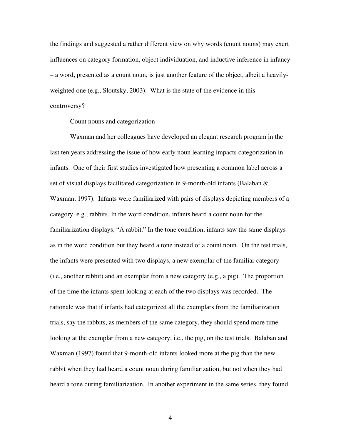the findings and suggested a rather different view on why words (count nouns) may exert influences on category formation, object individuation, and inductive inference in infancy – a word, presented as a count noun, is just another feature of the object, albeit a heavilyweighted one (e.g., Sloutsky, 2003). What is the state of the evidence in this controversy?

# Count nouns and categorization

Waxman and her colleagues have developed an elegant research program in the last ten years addressing the issue of how early noun learning impacts categorization in infants. One of their first studies investigated how presenting a common label across a set of visual displays facilitated categorization in 9-month-old infants (Balaban & Waxman, 1997). Infants were familiarized with pairs of displays depicting members of a category, e.g., rabbits. In the word condition, infants heard a count noun for the familiarization displays, "A rabbit." In the tone condition, infants saw the same displays as in the word condition but they heard a tone instead of a count noun. On the test trials, the infants were presented with two displays, a new exemplar of the familiar category (i.e., another rabbit) and an exemplar from a new category (e.g., a pig). The proportion of the time the infants spent looking at each of the two displays was recorded. The rationale was that if infants had categorized all the exemplars from the familiarization trials, say the rabbits, as members of the same category, they should spend more time looking at the exemplar from a new category, i.e., the pig, on the test trials. Balaban and Waxman (1997) found that 9-month-old infants looked more at the pig than the new rabbit when they had heard a count noun during familiarization, but not when they had heard a tone during familiarization. In another experiment in the same series, they found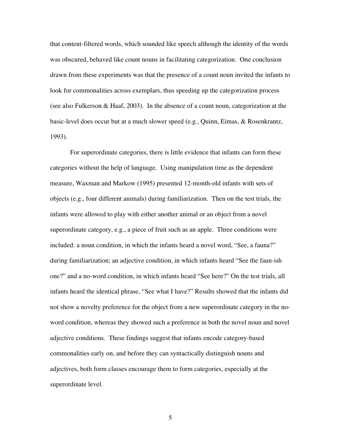that content-filtered words, which sounded like speech although the identity of the words was obscured, behaved like count nouns in facilitating categorization. One conclusion drawn from these experiments was that the presence of a count noun invited the infants to look for commonalities across exemplars, thus speeding up the categorization process (see also Fulkerson & Haaf, 2003). In the absence of a count noun, categorization at the basic-level does occur but at a much slower speed (e.g., Quinn, Eimas, & Rosenkrantz, 1993).

For superordinate categories, there is little evidence that infants can form these categories without the help of language. Using manipulation time as the dependent measure, Waxman and Markow (1995) presented 12-month-old infants with sets of objects (e.g., four different animals) during familiarization. Then on the test trials, the infants were allowed to play with either another animal or an object from a novel superordinate category, e.g., a piece of fruit such as an apple. Three conditions were included: a noun condition, in which the infants heard a novel word, "See, a fauna?" during familiarization; an adjective condition, in which infants heard "See the faun-ish one?" and a no-word condition, in which infants heard "See here?" On the test trials, all infants heard the identical phrase, "See what I have?" Results showed that the infants did not show a novelty preference for the object from a new superordinate category in the noword condition, whereas they showed such a preference in both the novel noun and novel adjective conditions. These findings suggest that infants encode category-based commonalities early on, and before they can syntactically distinguish nouns and adjectives, both form classes encourage them to form categories, especially at the superordinate level.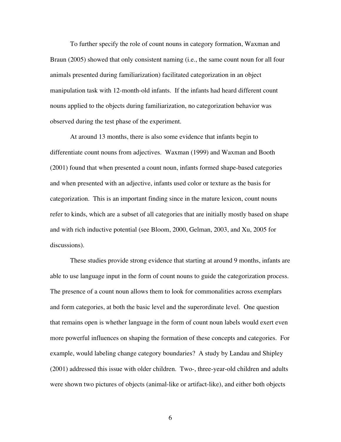To further specify the role of count nouns in category formation, Waxman and Braun (2005) showed that only consistent naming (i.e., the same count noun for all four animals presented during familiarization) facilitated categorization in an object manipulation task with 12-month-old infants. If the infants had heard different count nouns applied to the objects during familiarization, no categorization behavior was observed during the test phase of the experiment.

At around 13 months, there is also some evidence that infants begin to differentiate count nouns from adjectives. Waxman (1999) and Waxman and Booth (2001) found that when presented a count noun, infants formed shape-based categories and when presented with an adjective, infants used color or texture as the basis for categorization. This is an important finding since in the mature lexicon, count nouns refer to kinds, which are a subset of all categories that are initially mostly based on shape and with rich inductive potential (see Bloom, 2000, Gelman, 2003, and Xu, 2005 for discussions).

These studies provide strong evidence that starting at around 9 months, infants are able to use language input in the form of count nouns to guide the categorization process. The presence of a count noun allows them to look for commonalities across exemplars and form categories, at both the basic level and the superordinate level. One question that remains open is whether language in the form of count noun labels would exert even more powerful influences on shaping the formation of these concepts and categories. For example, would labeling change category boundaries? A study by Landau and Shipley (2001) addressed this issue with older children. Two-, three-year-old children and adults were shown two pictures of objects (animal-like or artifact-like), and either both objects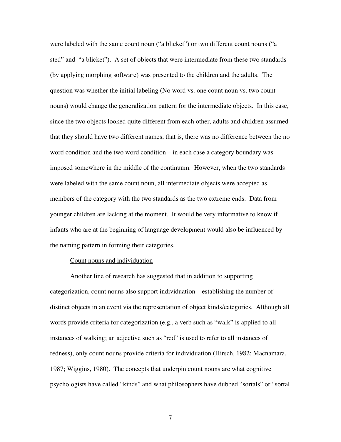were labeled with the same count noun ("a blicket") or two different count nouns ("a sted" and "a blicket"). A set of objects that were intermediate from these two standards (by applying morphing software) was presented to the children and the adults. The question was whether the initial labeling (No word vs. one count noun vs. two count nouns) would change the generalization pattern for the intermediate objects. In this case, since the two objects looked quite different from each other, adults and children assumed that they should have two different names, that is, there was no difference between the no word condition and the two word condition – in each case a category boundary was imposed somewhere in the middle of the continuum. However, when the two standards were labeled with the same count noun, all intermediate objects were accepted as members of the category with the two standards as the two extreme ends. Data from younger children are lacking at the moment. It would be very informative to know if infants who are at the beginning of language development would also be influenced by the naming pattern in forming their categories.

# Count nouns and individuation

Another line of research has suggested that in addition to supporting categorization, count nouns also support individuation – establishing the number of distinct objects in an event via the representation of object kinds/categories. Although all words provide criteria for categorization (e.g., a verb such as "walk" is applied to all instances of walking; an adjective such as "red" is used to refer to all instances of redness), only count nouns provide criteria for individuation (Hirsch, 1982; Macnamara, 1987; Wiggins, 1980). The concepts that underpin count nouns are what cognitive psychologists have called "kinds" and what philosophers have dubbed "sortals" or "sortal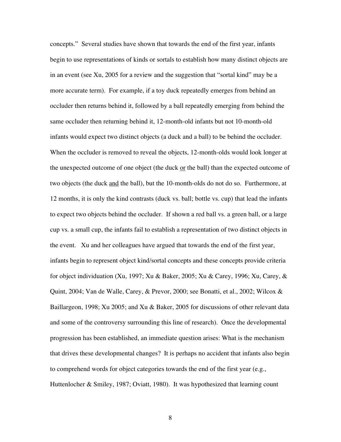concepts." Several studies have shown that towards the end of the first year, infants begin to use representations of kinds or sortals to establish how many distinct objects are in an event (see Xu, 2005 for a review and the suggestion that "sortal kind" may be a more accurate term). For example, if a toy duck repeatedly emerges from behind an occluder then returns behind it, followed by a ball repeatedly emerging from behind the same occluder then returning behind it, 12-month-old infants but not 10-month-old infants would expect two distinct objects (a duck and a ball) to be behind the occluder. When the occluder is removed to reveal the objects, 12-month-olds would look longer at the unexpected outcome of one object (the duck or the ball) than the expected outcome of two objects (the duck and the ball), but the 10-month-olds do not do so. Furthermore, at 12 months, it is only the kind contrasts (duck vs. ball; bottle vs. cup) that lead the infants to expect two objects behind the occluder. If shown a red ball vs. a green ball, or a large cup vs. a small cup, the infants fail to establish a representation of two distinct objects in the event. Xu and her colleagues have argued that towards the end of the first year, infants begin to represent object kind/sortal concepts and these concepts provide criteria for object individuation (Xu, 1997; Xu & Baker, 2005; Xu & Carey, 1996; Xu, Carey, & Quint, 2004; Van de Walle, Carey, & Prevor, 2000; see Bonatti, et al., 2002; Wilcox & Baillargeon, 1998; Xu 2005; and Xu & Baker, 2005 for discussions of other relevant data and some of the controversy surrounding this line of research). Once the developmental progression has been established, an immediate question arises: What is the mechanism that drives these developmental changes? It is perhaps no accident that infants also begin to comprehend words for object categories towards the end of the first year (e.g., Huttenlocher & Smiley, 1987; Oviatt, 1980). It was hypothesized that learning count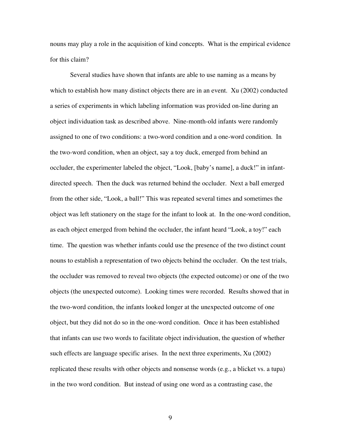nouns may play a role in the acquisition of kind concepts. What is the empirical evidence for this claim?

Several studies have shown that infants are able to use naming as a means by which to establish how many distinct objects there are in an event. Xu (2002) conducted a series of experiments in which labeling information was provided on-line during an object individuation task as described above. Nine-month-old infants were randomly assigned to one of two conditions: a two-word condition and a one-word condition. In the two-word condition, when an object, say a toy duck, emerged from behind an occluder, the experimenter labeled the object, "Look, [baby's name], a duck!" in infantdirected speech. Then the duck was returned behind the occluder. Next a ball emerged from the other side, "Look, a ball!" This was repeated several times and sometimes the object was left stationery on the stage for the infant to look at. In the one-word condition, as each object emerged from behind the occluder, the infant heard "Look, a toy!" each time. The question was whether infants could use the presence of the two distinct count nouns to establish a representation of two objects behind the occluder. On the test trials, the occluder was removed to reveal two objects (the expected outcome) or one of the two objects (the unexpected outcome). Looking times were recorded. Results showed that in the two-word condition, the infants looked longer at the unexpected outcome of one object, but they did not do so in the one-word condition. Once it has been established that infants can use two words to facilitate object individuation, the question of whether such effects are language specific arises. In the next three experiments, Xu (2002) replicated these results with other objects and nonsense words (e.g., a blicket vs. a tupa) in the two word condition. But instead of using one word as a contrasting case, the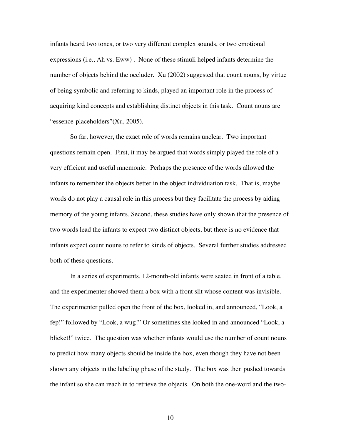infants heard two tones, or two very different complex sounds, or two emotional expressions (i.e., Ah vs. Eww) . None of these stimuli helped infants determine the number of objects behind the occluder. Xu (2002) suggested that count nouns, by virtue of being symbolic and referring to kinds, played an important role in the process of acquiring kind concepts and establishing distinct objects in this task. Count nouns are "essence-placeholders"(Xu, 2005).

So far, however, the exact role of words remains unclear. Two important questions remain open. First, it may be argued that words simply played the role of a very efficient and useful mnemonic. Perhaps the presence of the words allowed the infants to remember the objects better in the object individuation task. That is, maybe words do not play a causal role in this process but they facilitate the process by aiding memory of the young infants. Second, these studies have only shown that the presence of two words lead the infants to expect two distinct objects, but there is no evidence that infants expect count nouns to refer to kinds of objects. Several further studies addressed both of these questions.

In a series of experiments, 12-month-old infants were seated in front of a table, and the experimenter showed them a box with a front slit whose content was invisible. The experimenter pulled open the front of the box, looked in, and announced, "Look, a fep!" followed by "Look, a wug!" Or sometimes she looked in and announced "Look, a blicket!" twice. The question was whether infants would use the number of count nouns to predict how many objects should be inside the box, even though they have not been shown any objects in the labeling phase of the study. The box was then pushed towards the infant so she can reach in to retrieve the objects. On both the one-word and the two-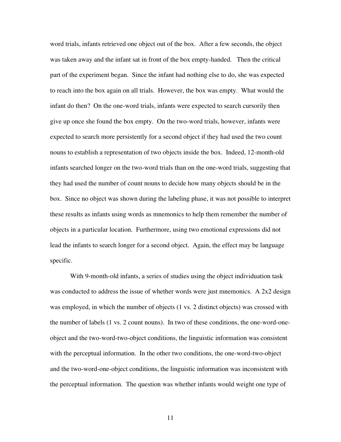word trials, infants retrieved one object out of the box. After a few seconds, the object was taken away and the infant sat in front of the box empty-handed. Then the critical part of the experiment began. Since the infant had nothing else to do, she was expected to reach into the box again on all trials. However, the box was empty. What would the infant do then? On the one-word trials, infants were expected to search cursorily then give up once she found the box empty. On the two-word trials, however, infants were expected to search more persistently for a second object if they had used the two count nouns to establish a representation of two objects inside the box. Indeed, 12-month-old infants searched longer on the two-word trials than on the one-word trials, suggesting that they had used the number of count nouns to decide how many objects should be in the box. Since no object was shown during the labeling phase, it was not possible to interpret these results as infants using words as mnemonics to help them remember the number of objects in a particular location. Furthermore, using two emotional expressions did not lead the infants to search longer for a second object. Again, the effect may be language specific.

With 9-month-old infants, a series of studies using the object individuation task was conducted to address the issue of whether words were just mnemonics. A 2x2 design was employed, in which the number of objects (1 vs. 2 distinct objects) was crossed with the number of labels (1 vs. 2 count nouns). In two of these conditions, the one-word-oneobject and the two-word-two-object conditions, the linguistic information was consistent with the perceptual information. In the other two conditions, the one-word-two-object and the two-word-one-object conditions, the linguistic information was inconsistent with the perceptual information. The question was whether infants would weight one type of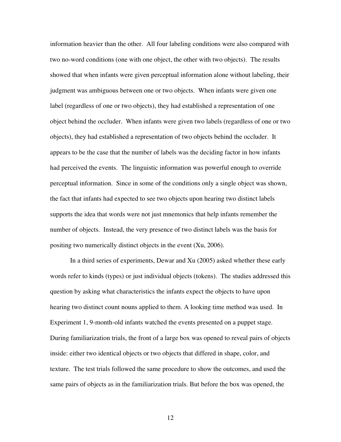information heavier than the other. All four labeling conditions were also compared with two no-word conditions (one with one object, the other with two objects). The results showed that when infants were given perceptual information alone without labeling, their judgment was ambiguous between one or two objects. When infants were given one label (regardless of one or two objects), they had established a representation of one object behind the occluder. When infants were given two labels (regardless of one or two objects), they had established a representation of two objects behind the occluder. It appears to be the case that the number of labels was the deciding factor in how infants had perceived the events. The linguistic information was powerful enough to override perceptual information. Since in some of the conditions only a single object was shown, the fact that infants had expected to see two objects upon hearing two distinct labels supports the idea that words were not just mnemonics that help infants remember the number of objects. Instead, the very presence of two distinct labels was the basis for positing two numerically distinct objects in the event (Xu, 2006).

In a third series of experiments, Dewar and Xu (2005) asked whether these early words refer to kinds (types) or just individual objects (tokens). The studies addressed this question by asking what characteristics the infants expect the objects to have upon hearing two distinct count nouns applied to them. A looking time method was used. In Experiment 1, 9-month-old infants watched the events presented on a puppet stage. During familiarization trials, the front of a large box was opened to reveal pairs of objects inside: either two identical objects or two objects that differed in shape, color, and texture. The test trials followed the same procedure to show the outcomes, and used the same pairs of objects as in the familiarization trials. But before the box was opened, the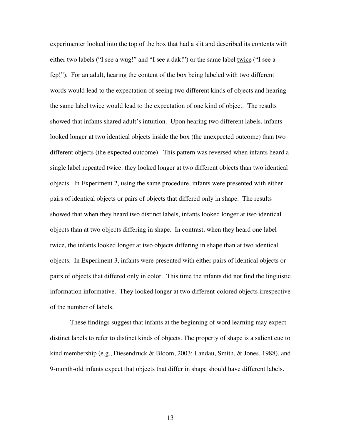experimenter looked into the top of the box that had a slit and described its contents with either two labels ("I see a wug!" and "I see a dak!") or the same label twice ("I see a fep!"). For an adult, hearing the content of the box being labeled with two different words would lead to the expectation of seeing two different kinds of objects and hearing the same label twice would lead to the expectation of one kind of object. The results showed that infants shared adult's intuition. Upon hearing two different labels, infants looked longer at two identical objects inside the box (the unexpected outcome) than two different objects (the expected outcome). This pattern was reversed when infants heard a single label repeated twice: they looked longer at two different objects than two identical objects. In Experiment 2, using the same procedure, infants were presented with either pairs of identical objects or pairs of objects that differed only in shape. The results showed that when they heard two distinct labels, infants looked longer at two identical objects than at two objects differing in shape. In contrast, when they heard one label twice, the infants looked longer at two objects differing in shape than at two identical objects. In Experiment 3, infants were presented with either pairs of identical objects or pairs of objects that differed only in color. This time the infants did not find the linguistic information informative. They looked longer at two different-colored objects irrespective of the number of labels.

These findings suggest that infants at the beginning of word learning may expect distinct labels to refer to distinct kinds of objects. The property of shape is a salient cue to kind membership (e.g., Diesendruck & Bloom, 2003; Landau, Smith, & Jones, 1988), and 9-month-old infants expect that objects that differ in shape should have different labels.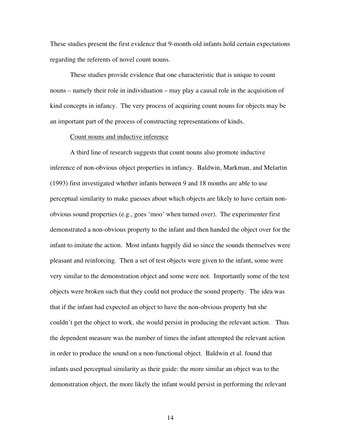These studies present the first evidence that 9-month-old infants hold certain expectations regarding the referents of novel count nouns.

These studies provide evidence that one characteristic that is unique to count nouns – namely their role in individuation – may play a causal role in the acquisition of kind concepts in infancy. The very process of acquiring count nouns for objects may be an important part of the process of constructing representations of kinds.

#### Count nouns and inductive inference

A third line of research suggests that count nouns also promote inductive inference of non-obvious object properties in infancy. Baldwin, Markman, and Melartin (1993) first investigated whether infants between 9 and 18 months are able to use perceptual similarity to make guesses about which objects are likely to have certain nonobvious sound properties (e.g., goes 'moo' when turned over). The experimenter first demonstrated a non-obvious property to the infant and then handed the object over for the infant to imitate the action. Most infants happily did so since the sounds themselves were pleasant and reinforcing. Then a set of test objects were given to the infant, some were very similar to the demonstration object and some were not. Importantly some of the test objects were broken such that they could not produce the sound property. The idea was that if the infant had expected an object to have the non-obvious property but she couldn't get the object to work, she would persist in producing the relevant action. Thus the dependent measure was the number of times the infant attempted the relevant action in order to produce the sound on a non-functional object. Baldwin et al. found that infants used perceptual similarity as their guide: the more similar an object was to the demonstration object, the more likely the infant would persist in performing the relevant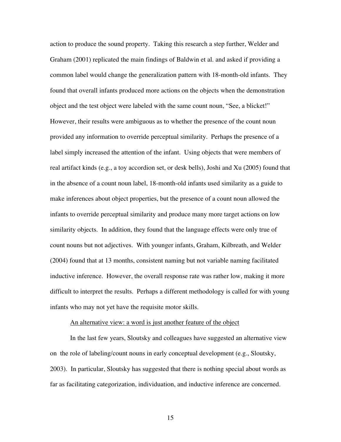action to produce the sound property. Taking this research a step further, Welder and Graham (2001) replicated the main findings of Baldwin et al. and asked if providing a common label would change the generalization pattern with 18-month-old infants. They found that overall infants produced more actions on the objects when the demonstration object and the test object were labeled with the same count noun, "See, a blicket!" However, their results were ambiguous as to whether the presence of the count noun provided any information to override perceptual similarity. Perhaps the presence of a label simply increased the attention of the infant. Using objects that were members of real artifact kinds (e.g., a toy accordion set, or desk bells), Joshi and Xu (2005) found that in the absence of a count noun label, 18-month-old infants used similarity as a guide to make inferences about object properties, but the presence of a count noun allowed the infants to override perceptual similarity and produce many more target actions on low similarity objects. In addition, they found that the language effects were only true of count nouns but not adjectives. With younger infants, Graham, Kilbreath, and Welder (2004) found that at 13 months, consistent naming but not variable naming facilitated inductive inference. However, the overall response rate was rather low, making it more difficult to interpret the results. Perhaps a different methodology is called for with young infants who may not yet have the requisite motor skills.

## An alternative view: a word is just another feature of the object

In the last few years, Sloutsky and colleagues have suggested an alternative view on the role of labeling/count nouns in early conceptual development (e.g., Sloutsky, 2003). In particular, Sloutsky has suggested that there is nothing special about words as far as facilitating categorization, individuation, and inductive inference are concerned.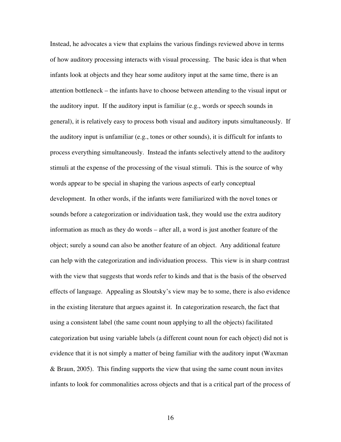Instead, he advocates a view that explains the various findings reviewed above in terms of how auditory processing interacts with visual processing. The basic idea is that when infants look at objects and they hear some auditory input at the same time, there is an attention bottleneck – the infants have to choose between attending to the visual input or the auditory input. If the auditory input is familiar (e.g., words or speech sounds in general), it is relatively easy to process both visual and auditory inputs simultaneously. If the auditory input is unfamiliar (e.g., tones or other sounds), it is difficult for infants to process everything simultaneously. Instead the infants selectively attend to the auditory stimuli at the expense of the processing of the visual stimuli. This is the source of why words appear to be special in shaping the various aspects of early conceptual development. In other words, if the infants were familiarized with the novel tones or sounds before a categorization or individuation task, they would use the extra auditory information as much as they do words – after all, a word is just another feature of the object; surely a sound can also be another feature of an object. Any additional feature can help with the categorization and individuation process. This view is in sharp contrast with the view that suggests that words refer to kinds and that is the basis of the observed effects of language. Appealing as Sloutsky's view may be to some, there is also evidence in the existing literature that argues against it. In categorization research, the fact that using a consistent label (the same count noun applying to all the objects) facilitated categorization but using variable labels (a different count noun for each object) did not is evidence that it is not simply a matter of being familiar with the auditory input (Waxman & Braun, 2005). This finding supports the view that using the same count noun invites infants to look for commonalities across objects and that is a critical part of the process of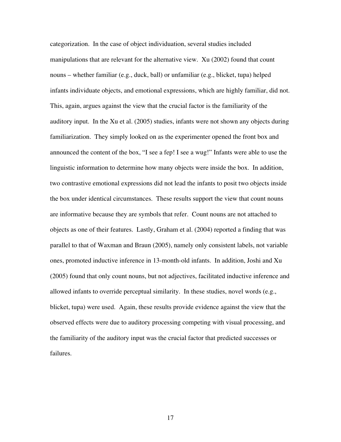categorization. In the case of object individuation, several studies included manipulations that are relevant for the alternative view. Xu (2002) found that count nouns – whether familiar (e.g., duck, ball) or unfamiliar (e.g., blicket, tupa) helped infants individuate objects, and emotional expressions, which are highly familiar, did not. This, again, argues against the view that the crucial factor is the familiarity of the auditory input. In the Xu et al. (2005) studies, infants were not shown any objects during familiarization. They simply looked on as the experimenter opened the front box and announced the content of the box, "I see a fep! I see a wug!" Infants were able to use the linguistic information to determine how many objects were inside the box. In addition, two contrastive emotional expressions did not lead the infants to posit two objects inside the box under identical circumstances. These results support the view that count nouns are informative because they are symbols that refer. Count nouns are not attached to objects as one of their features. Lastly, Graham et al. (2004) reported a finding that was parallel to that of Waxman and Braun (2005), namely only consistent labels, not variable ones, promoted inductive inference in 13-month-old infants. In addition, Joshi and Xu (2005) found that only count nouns, but not adjectives, facilitated inductive inference and allowed infants to override perceptual similarity. In these studies, novel words (e.g., blicket, tupa) were used. Again, these results provide evidence against the view that the observed effects were due to auditory processing competing with visual processing, and the familiarity of the auditory input was the crucial factor that predicted successes or failures.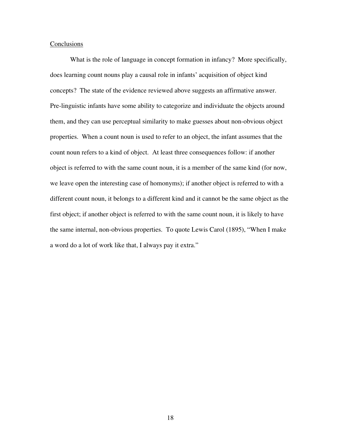## **Conclusions**

What is the role of language in concept formation in infancy? More specifically, does learning count nouns play a causal role in infants' acquisition of object kind concepts? The state of the evidence reviewed above suggests an affirmative answer. Pre-linguistic infants have some ability to categorize and individuate the objects around them, and they can use perceptual similarity to make guesses about non-obvious object properties. When a count noun is used to refer to an object, the infant assumes that the count noun refers to a kind of object. At least three consequences follow: if another object is referred to with the same count noun, it is a member of the same kind (for now, we leave open the interesting case of homonyms); if another object is referred to with a different count noun, it belongs to a different kind and it cannot be the same object as the first object; if another object is referred to with the same count noun, it is likely to have the same internal, non-obvious properties. To quote Lewis Carol (1895), "When I make a word do a lot of work like that, I always pay it extra."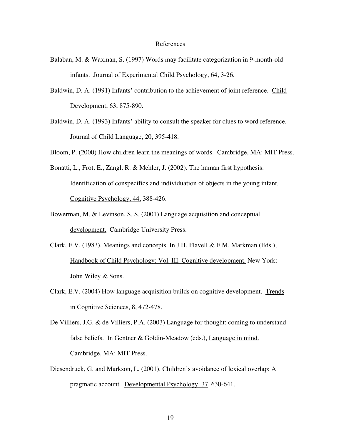### References

- Balaban, M. & Waxman, S. (1997) Words may facilitate categorization in 9-month-old infants. Journal of Experimental Child Psychology, 64, 3-26.
- Baldwin, D. A. (1991) Infants' contribution to the achievement of joint reference. Child Development, 63, 875-890.
- Baldwin, D. A. (1993) Infants' ability to consult the speaker for clues to word reference. Journal of Child Language, 20, 395-418.

Bloom, P. (2000) How children learn the meanings of words. Cambridge, MA: MIT Press.

- Bonatti, L., Frot, E., Zangl, R. & Mehler, J. (2002). The human first hypothesis: Identification of conspecifics and individuation of objects in the young infant. Cognitive Psychology, 44, 388-426.
- Bowerman, M. & Levinson, S. S. (2001) Language acquisition and conceptual development. Cambridge University Press.
- Clark, E.V. (1983). Meanings and concepts. In J.H. Flavell & E.M. Markman (Eds.), Handbook of Child Psychology: Vol. III. Cognitive development. New York: John Wiley & Sons.
- Clark, E.V. (2004) How language acquisition builds on cognitive development. Trends in Cognitive Sciences, 8, 472-478.

De Villiers, J.G. & de Villiers, P.A. (2003) Language for thought: coming to understand false beliefs. In Gentner & Goldin-Meadow (eds.), Language in mind. Cambridge, MA: MIT Press.

Diesendruck, G. and Markson, L. (2001). Children's avoidance of lexical overlap: A pragmatic account. Developmental Psychology, 37, 630-641.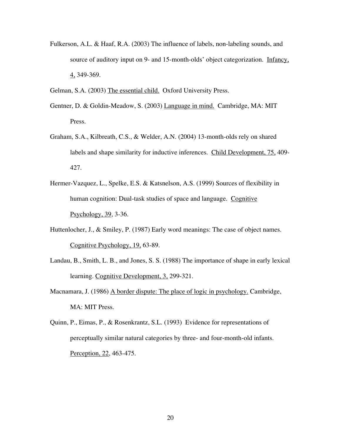- Fulkerson, A.L. & Haaf, R.A. (2003) The influence of labels, non-labeling sounds, and source of auditory input on 9- and 15-month-olds' object categorization. Infancy, 4, 349-369.
- Gelman, S.A. (2003) The essential child. Oxford University Press.
- Gentner, D. & Goldin-Meadow, S. (2003) Language in mind. Cambridge, MA: MIT Press.
- Graham, S.A., Kilbreath, C.S., & Welder, A.N. (2004) 13-month-olds rely on shared labels and shape similarity for inductive inferences. Child Development, 75, 409- 427.
- Hermer-Vazquez, L., Spelke, E.S. & Katsnelson, A.S. (1999) Sources of flexibility in human cognition: Dual-task studies of space and language. Cognitive Psychology, 39, 3-36.
- Huttenlocher, J., & Smiley, P. (1987) Early word meanings: The case of object names. Cognitive Psychology, 19, 63-89.
- Landau, B., Smith, L. B., and Jones, S. S. (1988) The importance of shape in early lexical learning. Cognitive Development, 3, 299-321.
- Macnamara, J. (1986) A border dispute: The place of logic in psychology. Cambridge, MA: MIT Press.
- Quinn, P., Eimas, P., & Rosenkrantz, S.L. (1993) Evidence for representations of perceptually similar natural categories by three- and four-month-old infants. Perception, 22, 463-475.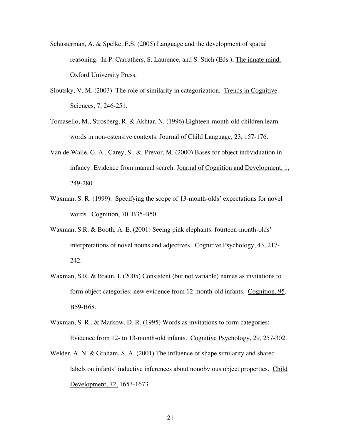- Schusterman, A. & Spelke, E.S. (2005) Language and the development of spatial reasoning. In P. Carruthers, S. Laurence, and S. Stich (Eds.), The innate mind. Oxford University Press.
- Sloutsky, V. M. (2003) The role of similarity in categorization. Trends in Cognitive Sciences, 7, 246-251.
- Tomasello, M., Strosberg, R. & Akhtar, N. (1996) Eighteen-month-old children learn words in non-ostensive contexts. Journal of Child Language, 23, 157-176.
- Van de Walle, G. A., Carey, S., &. Prevor, M. (2000) Bases for object individuation in infancy: Evidence from manual search. Journal of Cognition and Development, 1, 249-280.
- Waxman, S. R. (1999). Specifying the scope of 13-month-olds' expectations for novel words. Cognition, 70*,* B35-B50*.*
- Waxman, S.R. & Booth, A. E. (2001) Seeing pink elephants: fourteen-month-olds' interpretations of novel nouns and adjectives. Cognitive Psychology, 43, 217- 242.
- Waxman, S.R. & Braun, I. (2005) Consistent (but not variable) names as invitations to form object categories: new evidence from 12-month-old infants. Cognition, 95, B59-B68.
- Waxman, S. R., & Markow, D. R. (1995) Words as invitations to form categories: Evidence from 12- to 13-month-old infants. Cognitive Psychology, 29*,* 257-302.
- Welder, A. N. & Graham, S. A. (2001) The influence of shape similarity and shared labels on infants' inductive inferences about nonobvious object properties. Child Development, 72, 1653-1673.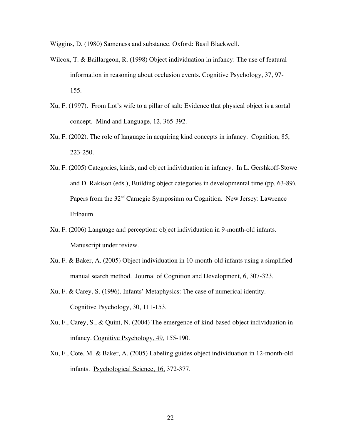Wiggins, D. (1980) Sameness and substance*.* Oxford: Basil Blackwell.

- Wilcox, T. & Baillargeon, R. (1998) Object individuation in infancy: The use of featural information in reasoning about occlusion events. Cognitive Psychology, 37, 97- 155.
- Xu, F. (1997). From Lot's wife to a pillar of salt: Evidence that physical object is a sortal concept. Mind and Language, 12, 365-392.
- Xu, F. (2002). The role of language in acquiring kind concepts in infancy. Cognition, 85, 223-250.
- Xu, F. (2005) Categories, kinds, and object individuation in infancy. In L. Gershkoff-Stowe and D. Rakison (eds.), Building object categories in developmental time (pp. 63-89). Papers from the 32<sup>nd</sup> Carnegie Symposium on Cognition. New Jersey: Lawrence Erlbaum.
- Xu, F. (2006) Language and perception: object individuation in 9-month-old infants. Manuscript under review.
- Xu, F. & Baker, A. (2005) Object individuation in 10-month-old infants using a simplified manual search method. Journal of Cognition and Development, 6, 307-323.
- Xu, F. & Carey, S. (1996). Infants' Metaphysics: The case of numerical identity. Cognitive Psychology, 30, 111-153.
- Xu, F., Carey, S., & Quint, N. (2004) The emergence of kind-based object individuation in infancy. Cognitive Psychology, 49*,* 155-190.
- Xu, F., Cote, M. & Baker, A. (2005) Labeling guides object individuation in 12-month-old infants. Psychological Science, 16, 372-377.